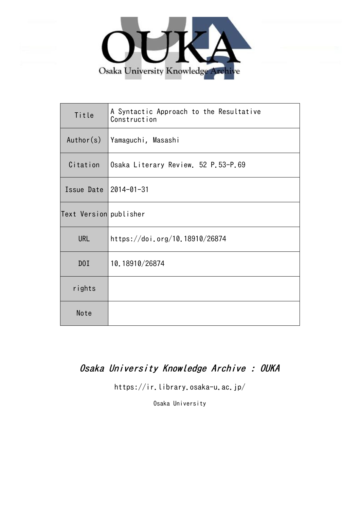

| Title                  | A Syntactic Approach to the Resultative<br>Construction |
|------------------------|---------------------------------------------------------|
| Author(s)              | Yamaguchi, Masashi                                      |
| Citation               | Osaka Literary Review. 52 P.53-P.69                     |
| Issue Date 2014-01-31  |                                                         |
| Text Version publisher |                                                         |
| <b>URL</b>             | https://doi.org/10.18910/26874                          |
| DOI                    | 10.18910/26874                                          |
| rights                 |                                                         |
| Note                   |                                                         |

# Osaka University Knowledge Archive : OUKA

https://ir.library.osaka-u.ac.jp/

Osaka University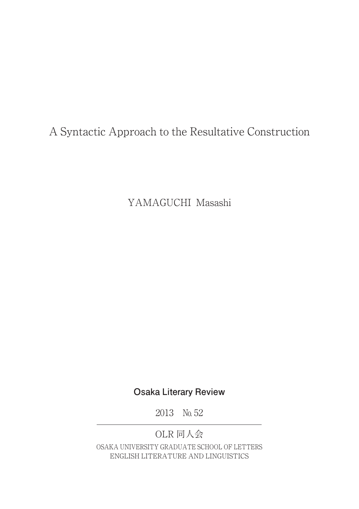## A Syntactic Approach to the Resultative Construction

YAMAGUCHI Masashi

**Osaka Literary Review**

2013 No. 52

OLR 同人会

OSAKA UNIVERSITY GRADUATE SCHOOL OF LETTERS ENGLISH LITERATURE AND LINGUISTICS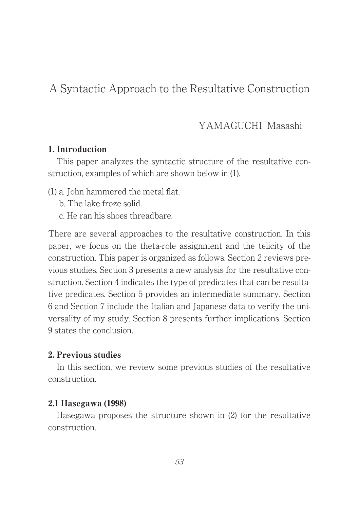## A Syntactic Approach to the Resultative Construction

YAMAGUCHI Masashi

#### 1. Introduction

This paper analyzes the syntactic structure of the resultative construction, examples of which are shown below in (1).

- (1) a. John hammered the metal flat.
	- b. The lake froze solid.
	- c. He ran his shoes threadbare.

There are several approaches to the resultative construction. In this paper, we focus on the theta-role assignment and the telicity of the construction. This paper is organized as follows. Section 2 reviews previous studies. Section 3 presents a new analysis for the resultative construction. Section 4 indicates the type of predicates that can be resultative predicates. Section 5 provides an intermediate summary. Section 6 and Section 7 include the Italian and Japanese data to verify the universality of my study. Section 8 presents further implications. Section 9 states the conclusion.

#### 2. Previous studies

In this section, we review some previous studies of the resultative construction.

#### 2.1 Hasegawa (1998)

Hasegawa proposes the structure shown in (2) for the resultative construction.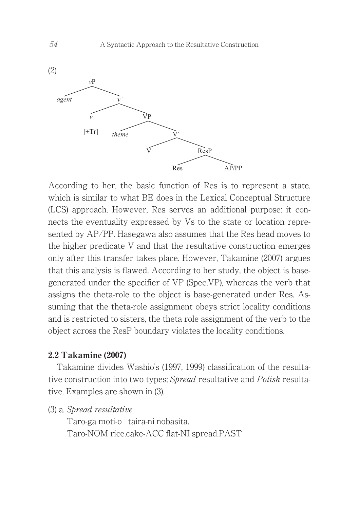

According to her, the basic function of Res is to represent a state, which is similar to what BE does in the Lexical Conceptual Structure (LCS) approach. However, Res serves an additional purpose: it connects the eventuality expressed by Vs to the state or location represented by AP/PP. Hasegawa also assumes that the Res head moves to the higher predicate V and that the resultative construction emerges only after this transfer takes place. However, Takamine (2007) argues that this analysis is flawed. According to her study, the object is basegenerated under the specifier of VP (Spec,VP), whereas the verb that assigns the theta-role to the object is base-generated under Res. Assuming that the theta-role assignment obeys strict locality conditions and is restricted to sisters, the theta role assignment of the verb to the object across the ResP boundary violates the locality conditions.

#### 2.2 Takamine (2007)

Takamine divides Washio's (1997, 1999) classification of the resultative construction into two types; Spread resultative and Polish resultative. Examples are shown in (3).

(3) a. Spread resultative

Taro-ga moti-o taira-ni nobasita. Taro-NOM rice.cake-ACC flat-NI spread.PAST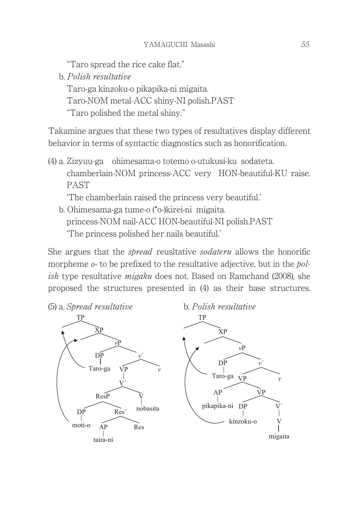"Taro spread the rice cake flat."

b. Polish resultative

Taro-ga kinzoku-o pikapika-ni migaita. Taro-NOM metal-ACC shiny-NI polish.PAST "Taro polished the metal shiny."

Takamine argues that these two types of resultatives display different behavior in terms of syntactic diagnostics such as honorification.

(4) a. Zizyuu-ga ohimesama-o totemo o-utukusi-ku sodateta. chamberlain-NOM princess-ACC very HON-beautiful-KU raise. PAST

ʻThe chamberlain raised the princess very beautiful.'

b. Ohimesama-ga tume-o (\*o-)kirei-ni migaita. princess-NOM nail-ACC HON-beautiful-NI polish.PAST ʻThe princess polished her nails beautiful.'

She argues that the *spread* reusltative *sodateru* allows the honorific morpheme *o*- to be prefixed to the resultative adjective, but in the *pol*ish type resultative *migaku* does not. Based on Ramchand (2008), she proposed the structures presented in (4) as their base structures.

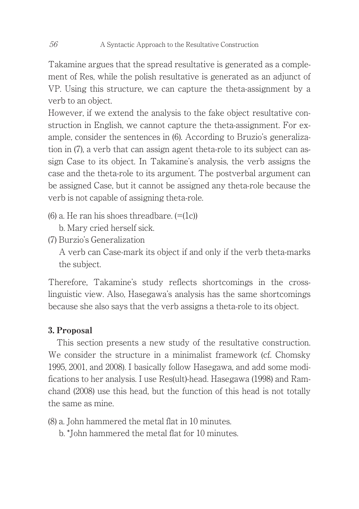Takamine argues that the spread resultative is generated as a complement of Res, while the polish resultative is generated as an adjunct of VP. Using this structure, we can capture the theta-assignment by a verb to an object.

However, if we extend the analysis to the fake object resultative construction in English, we cannot capture the theta-assignment. For example, consider the sentences in (6). According to Bruzio's generalization in (7), a verb that can assign agent theta-role to its subject can assign Case to its object. In Takamine's analysis, the verb assigns the case and the theta-role to its argument. The postverbal argument can be assigned Case, but it cannot be assigned any theta-role because the verb is not capable of assigning theta-role.

- $(6)$  a. He ran his shoes threadbare.  $(=(1c))$ 
	- b. Mary cried herself sick.
- (7) Burzio's Generalization

A verb can Case-mark its object if and only if the verb theta-marks the subject.

Therefore, Takamine's study reflects shortcomings in the crosslinguistic view. Also, Hasegawa's analysis has the same shortcomings because she also says that the verb assigns a theta-role to its object.

## 3. Proposal

This section presents a new study of the resultative construction. We consider the structure in a minimalist framework (cf. Chomsky 1995, 2001, and 2008). I basically follow Hasegawa, and add some modifications to her analysis. I use Res(ult)-head. Hasegawa (1998) and Ramchand (2008) use this head, but the function of this head is not totally the same as mine.

(8) a. John hammered the metal flat in 10 minutes.

b. \*John hammered the metal flat for 10 minutes.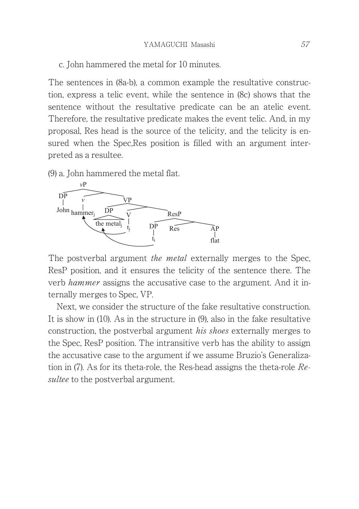c. John hammered the metal for 10 minutes.

The sentences in (8a-b), a common example the resultative construction, express a telic event, while the sentence in (8c) shows that the sentence without the resultative predicate can be an atelic event. Therefore, the resultative predicate makes the event telic. And, in my proposal, Res head is the source of the telicity, and the telicity is ensured when the Spec,Res position is filled with an argument interpreted as a resultee.

(9) a. John hammered the metal flat.



The postverbal argument *the metal* externally merges to the Spec. ResP position, and it ensures the telicity of the sentence there. The verb *hammer* assigns the accusative case to the argument. And it internally merges to Spec, VP.

Next, we consider the structure of the fake resultative construction. It is show in (10). As in the structure in (9), also in the fake resultative construction, the postverbal argument his shoes externally merges to the Spec, ResP position. The intransitive verb has the ability to assign the accusative case to the argument if we assume Bruzio's Generalization in (7). As for its theta-role, the Res-head assigns the theta-role Resultee to the postverbal argument.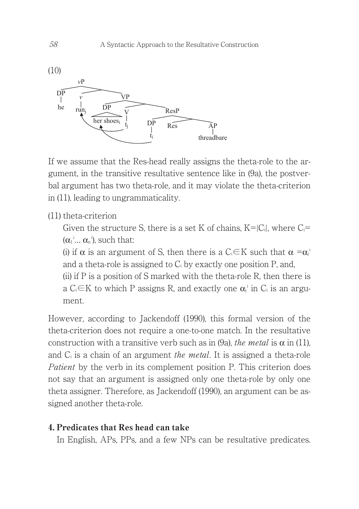

If we assume that the Res-head really assigns the theta-role to the argument, in the transitive resultative sentence like in (9a), the postverbal argument has two theta-role, and it may violate the theta-criterion in (11), leading to ungrammaticality.

(11) theta-criterion

Given the structure S, there is a set K of chains,  $K = \{C_i\}$ , where  $C_i =$ (α $_1$ <sup>i</sup>... α $_n$ <sup>i</sup>), such that:

(i) if  $\alpha$  is an argument of S, then there is a C<sub>i</sub>∈K such that  $\alpha = \alpha$ <sub>j</sub> and a theta-role is assigned to  $C_i$  by exactly one position  $P$ , and,

(ii) if P is a position of S marked with the theta-role R, then there is a C<sub>i</sub>∈K to which P assigns R, and exactly one  $\alpha_i$ ' in C<sub>i</sub> is an argument.

However, according to Jackendoff (1990), this formal version of the theta-criterion does not require a one-to-one match. In the resultative construction with a transitive verb such as in (9a), the metal is  $\alpha$  in (11). and  $C_i$  is a chain of an argument *the metal*. It is assigned a theta-role Patient by the verb in its complement position P. This criterion does not say that an argument is assigned only one theta-role by only one theta assigner. Therefore, as Jackendoff (1990), an argument can be assigned another theta-role.

#### 4. Predicates that Res head can take

In English, APs, PPs, and a few NPs can be resultative predicates.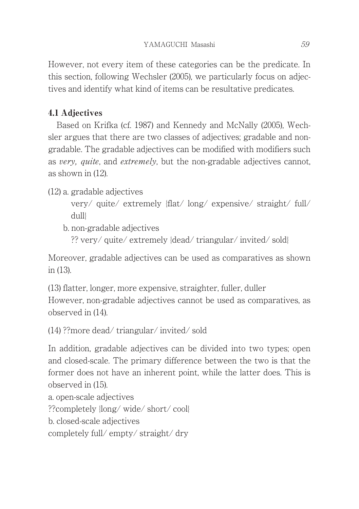However, not every item of these categories can be the predicate. In this section, following Wechsler (2005), we particularly focus on adjectives and identify what kind of items can be resultative predicates.

## 4.1 Adjectives

Based on Krifka (cf. 1987) and Kennedy and McNally (2005), Wechsler argues that there are two classes of adjectives; gradable and nongradable. The gradable adjectives can be modified with modifiers such as very, quite, and extremely, but the non-gradable adjectives cannot, as shown in (12).

(12) a. gradable adjectives

very/ quite/ extremely {flat/ long/ expensive/ straight/ full/ dull}

b. non-gradable adjectives

?? very/ quite/ extremely {dead/ triangular/ invited/ sold}

Moreover, gradable adjectives can be used as comparatives as shown in (13).

(13) flatter, longer, more expensive, straighter, fuller, duller However, non-gradable adjectives cannot be used as comparatives, as observed in (14).

(14) ??more dead/ triangular/ invited/ sold

In addition, gradable adjectives can be divided into two types; open and closed-scale. The primary difference between the two is that the former does not have an inherent point, while the latter does. This is observed in (15).

a. open-scale adjectives ??completely {long/ wide/ short/ cool} b. closed-scale adjectives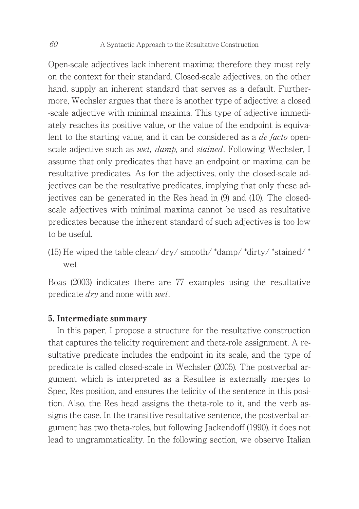Open-scale adjectives lack inherent maxima: therefore they must rely on the context for their standard. Closed-scale adjectives, on the other hand, supply an inherent standard that serves as a default. Furthermore, Wechsler argues that there is another type of adjective: a closed -scale adjective with minimal maxima. This type of adjective immediately reaches its positive value, or the value of the endpoint is equivalent to the starting value, and it can be considered as a *de facto* openscale adjective such as *wet, damp,* and *stained*. Following Wechsler, I assume that only predicates that have an endpoint or maxima can be resultative predicates. As for the adjectives, only the closed-scale adjectives can be the resultative predicates, implying that only these adjectives can be generated in the Res head in (9) and (10). The closedscale adjectives with minimal maxima cannot be used as resultative predicates because the inherent standard of such adjectives is too low to be useful.

(15) He wiped the table clean/ dry/ smooth/ \*damp/ \*dirty/ \*stained/ \* wet

Boas (2003) indicates there are 77 examples using the resultative predicate dry and none with wet.

#### 5. Intermediate summary

In this paper, I propose a structure for the resultative construction that captures the telicity requirement and theta-role assignment. A resultative predicate includes the endpoint in its scale, and the type of predicate is called closed-scale in Wechsler (2005). The postverbal argument which is interpreted as a Resultee is externally merges to Spec, Res position, and ensures the telicity of the sentence in this position. Also, the Res head assigns the theta-role to it, and the verb assigns the case. In the transitive resultative sentence, the postverbal argument has two theta-roles, but following Jackendoff (1990), it does not lead to ungrammaticality. In the following section, we observe Italian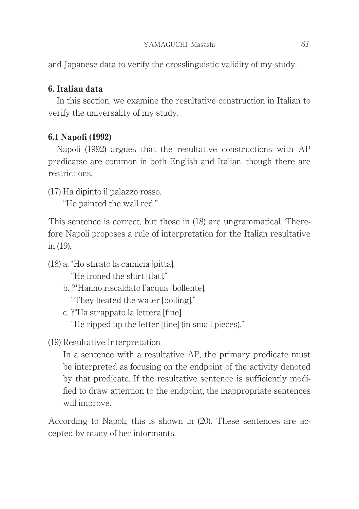and Japanese data to verify the crosslinguistic validity of my study.

## 6. Italian data

In this section, we examine the resultative construction in Italian to verify the universality of my study.

## 6.1 Napoli (1992)

Napoli (1992) argues that the resultative constructions with AP predicatse are common in both English and Italian, though there are restrictions.

(17) Ha dipinto il palazzo rosso.

"He painted the wall red."

This sentence is correct, but those in (18) are ungrammatical. Therefore Napoli proposes a rule of interpretation for the Italian resultative in (19).

(18) a. \*Ho stirato la camicia [pitta].

"He ironed the shirt [flat]."

- b. ?\*Hanno riscaldato l'acqua [bollente]. "They heated the water [boiling]."
- c. ?\*Ha strappato la lettera [fine].

"He ripped up the letter [fine] (in small pieces)."

(19) Resultative Interpretation

In a sentence with a resultative AP, the primary predicate must be interpreted as focusing on the endpoint of the activity denoted by that predicate. If the resultative sentence is sufficiently modified to draw attention to the endpoint, the inappropriate sentences will improve.

According to Napoli, this is shown in (20). These sentences are accepted by many of her informants.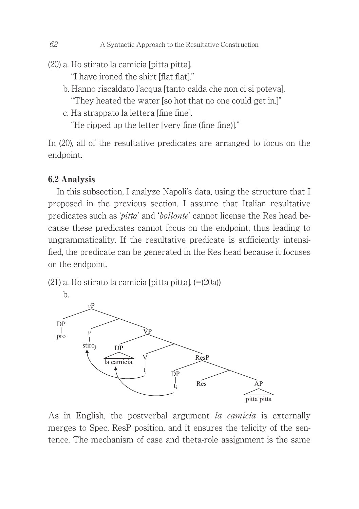(20) a. Ho stirato la camicia [pitta pitta].

"I have ironed the shirt [flat flat]."

- b. Hanno riscaldato l'acqua [tanto calda che non ci si poteva].
	- "They heated the water [so hot that no one could get in.]"
- c. Ha strappato la lettera [fine fine].

"He ripped up the letter [very fine (fine fine)]."

In (20), all of the resultative predicates are arranged to focus on the endpoint.

#### 6.2 Analysis

In this subsection, I analyze Napoli's data, using the structure that I proposed in the previous section. I assume that Italian resultative predicates such as *'pitta'* and *'bollonte'* cannot license the Res head because these predicates cannot focus on the endpoint, thus leading to ungrammaticality. If the resultative predicate is sufficiently intensified, the predicate can be generated in the Res head because it focuses on the endpoint.

 $(21)$  a. Ho stirato la camicia [pitta pitta].  $(=(20a))$ 



As in English, the postverbal argument *la camicia* is externally merges to Spec, ResP position, and it ensures the telicity of the sentence. The mechanism of case and theta-role assignment is the same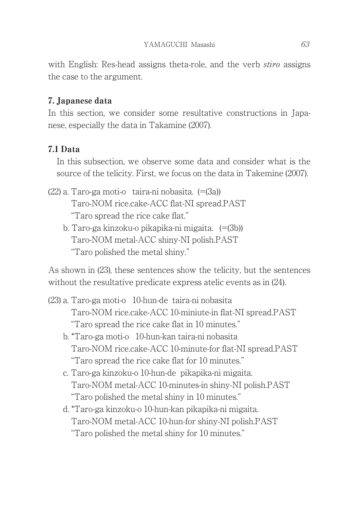with English: Res-head assigns theta-role, and the verb stiro assigns the case to the argument.

## 7. Japanese data

In this section, we consider some resultative constructions in Japanese, especially the data in Takamine (2007).

### 7.1 Data

In this subsection, we observe some data and consider what is the source of the telicity. First, we focus on the data in Takemine (2007).

(22) a. Taro-ga moti-o taira-ni nobasita. (=(3a)) Taro-NOM rice.cake-ACC flat-NI spread.PAST "Taro spread the rice cake flat." b. Taro-ga kinzoku-o pikapika-ni migaita. (=(3b))

Taro-NOM metal-ACC shiny-NI polish.PAST

"Taro polished the metal shiny."

As shown in (23), these sentences show the telicity, but the sentences without the resultative predicate express atelic events as in (24).

- (23) a. Taro-ga moti-o 10-hun-de taira-ni nobasita Taro-NOM rice.cake-ACC 10-miniute-in flat-NI spread.PAST "Taro spread the rice cake flat in 10 minutes."
	- b. \*Taro-ga moti-o 10-hun-kan taira-ni nobasita Taro-NOM rice.cake-ACC 10-minute-for flat-NI spread.PAST "Taro spread the rice cake flat for 10 minutes."
	- c. Taro-ga kinzoku-o 10-hun-de pikapika-ni migaita. Taro-NOM metal-ACC 10-minutes-in shiny-NI polish.PAST "Taro polished the metal shiny in 10 minutes."
	- d. \*Taro-ga kinzoku-o 10-hun-kan pikapika-ni migaita. Taro-NOM metal-ACC 10-hun-for shiny-NI polish.PAST "Taro polished the metal shiny for 10 minutes."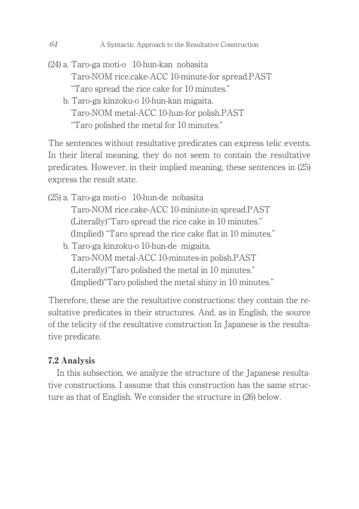- (24) a. Taro-ga moti-o 10-hun-kan nobasita Taro-NOM rice.cake-ACC 10-minute-for spread.PAST "Taro spread the rice cake for 10 minutes."
	- b. Taro-ga kinzoku-o 10-hun-kan migaita. Taro-NOM metal-ACC 10-hun-for polish.PAST "Taro polished the metal for 10 minutes."

The sentences without resultative predicates can express telic events. In their literal meaning, they do not seem to contain the resultative predicates. However, in their implied meaning, these sentences in (25) express the result state.

(25) a. Taro-ga moti-o 10-hun-de nobasita Taro-NOM rice.cake-ACC 10-miniute-in spread.PAST (Literally)"Taro spread the rice cake in 10 minutes." (Implied) "Taro spread the rice cake flat in 10 minutes." b. Taro-ga kinzoku-o 10-hun-de migaita. Taro-NOM metal-ACC 10-minutes-in polish.PAST (Literally)"Taro polished the metal in 10 minutes." (Implied)"Taro polished the metal shiny in 10 minutes."

Therefore, these are the resultative constructions: they contain the resultative predicates in their structures. And, as in English, the source of the telicity of the resultative construction In Japanese is the resultative predicate.

## 7.2 Analysis

In this subsection, we analyze the structure of the Japanese resultative constructions. I assume that this construction has the same structure as that of English. We consider the structure in (26) below.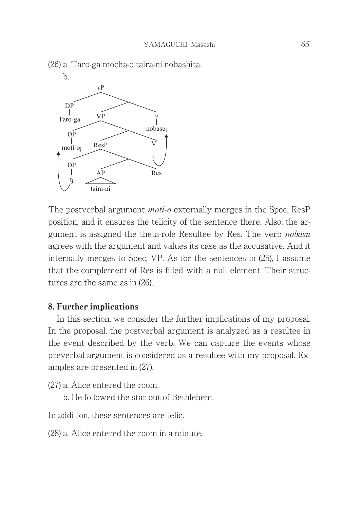(26) a. Taro-ga mocha-o taira-ni nobashita.



The postverbal argument *moti-o* externally merges in the Spec, ResP position, and it ensures the telicity of the sentence there. Also, the argument is assigned the theta-role Resultee by Res. The verb nobasu agrees with the argument and values its case as the accusative. And it internally merges to Spec, VP. As for the sentences in (25), I assume that the complement of Res is filled with a null element. Their structures are the same as in (26).

#### 8. Further implications

In this section, we consider the further implications of my proposal. In the proposal, the postverbal argument is analyzed as a resultee in the event described by the verb. We can capture the events whose preverbal argument is considered as a resultee with my proposal. Examples are presented in (27).

(27) a. Alice entered the room.

b. He followed the star out of Bethlehem.

In addition, these sentences are telic.

(28) a. Alice entered the room in a minute.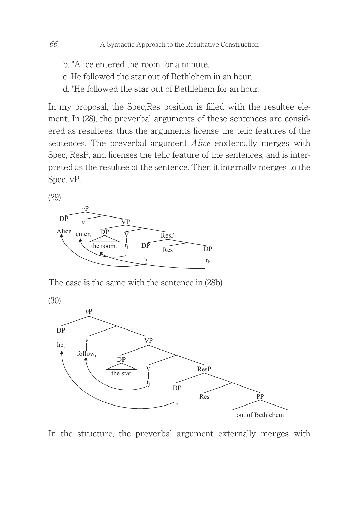- b. \*Alice entered the room for a minute.
- c. He followed the star out of Bethlehem in an hour.
- d. \*He followed the star out of Bethlehem for an hour.

In my proposal, the Spec,Res position is filled with the resultee element. In (28), the preverbal arguments of these sentences are considered as resultees, thus the arguments license the telic features of the sentences. The preverbal argument *Alice* enxternally merges with Spec, ResP, and licenses the telic feature of the sentences, and is interpreted as the resultee of the sentence. Then it internally merges to the Spec, vP.

(29)



The case is the same with the sentence in (28b).



In the structure, the preverbal argument externally merges with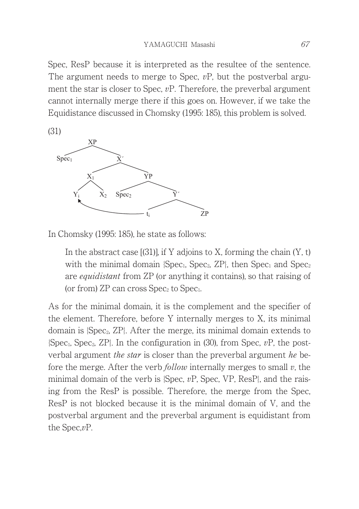YAMAGUCHI Masashi 67

Spec, ResP because it is interpreted as the resultee of the sentence. The argument needs to merge to Spec,  $vP$ , but the postverbal argument the star is closer to Spec,  $vP$ . Therefore, the preverbal argument cannot internally merge there if this goes on. However, if we take the Equidistance discussed in Chomsky (1995: 185), this problem is solved.

(31)



In Chomsky (1995: 185), he state as follows:

In the abstract case  $[(31)]$ , if Y adjoins to X, forming the chain  $(Y, t)$ with the minimal domain  ${Spec_1, Spec_2, ZP}$ , then  $Spec_1$  and  $Spec_2$ are equidistant from ZP (or anything it contains), so that raising of (or from)  $ZP$  can cross  $Spec_2$  to  $Spec_1$ .

As for the minimal domain, it is the complement and the specifier of the element. Therefore, before Y internally merges to X, its minimal domain is {Spec2, ZP}. After the merge, its minimal domain extends to  ${Spec_1, Spec_2, ZP}$ . In the configuration in (30), from Spec,  $vP$ , the postverbal argument the star is closer than the preverbal argument he before the merge. After the verb *follow* internally merges to small  $v$ , the minimal domain of the verb is  $\langle$ Spec, vP, Spec, VP, ResP $\langle$ , and the raising from the ResP is possible. Therefore, the merge from the Spec, ResP is not blocked because it is the minimal domain of V, and the postverbal argument and the preverbal argument is equidistant from the Spec,vP.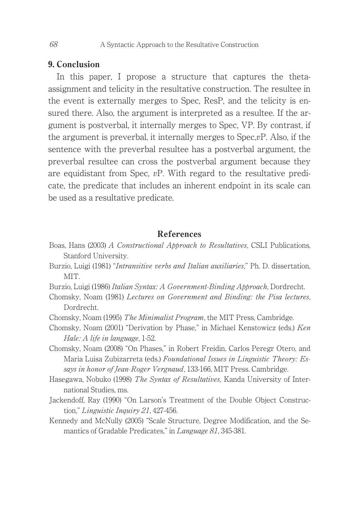#### 9. Conclusion

In this paper, I propose a structure that captures the thetaassignment and telicity in the resultative construction. The resultee in the event is externally merges to Spec, ResP, and the telicity is ensured there. Also, the argument is interpreted as a resultee. If the argument is postverbal, it internally merges to Spec, VP. By contrast, if the argument is preverbal, it internally merges to Spec,vP. Also, if the sentence with the preverbal resultee has a postverbal argument, the preverbal resultee can cross the postverbal argument because they are equidistant from Spec, vP. With regard to the resultative predicate, the predicate that includes an inherent endpoint in its scale can be used as a resultative predicate.

#### References

- Boas, Hans (2003) A Constructional Approach to Resultatives, CSLI Publications, Stanford University.
- Burzio, Luigi (1981) "Intransitive verbs and Italian auxiliaries," Ph. D. dissertation, MIT.
- Burzio, Luigi (1986) Italian Syntax: A Government-Binding Approach, Dordrecht.
- Chomsky, Noam (1981) Lectures on Government and Binding: the Pisa lectures, Dordrecht.
- Chomsky, Noam (1995) The Minimalist Program, the MIT Press, Cambridge.
- Chomsky, Noam (2001) "Derivation by Phase," in Michael Kenstowicz (eds.) Ken Hale: A life in language, 1-52.
- Chomsky, Noam (2008) "On Phases," in Robert Freidin, Carlos Peregr Otero, and Maria Luisa Zubizarreta (eds.) Foundational Issues in Linguistic Theory: Essays in honor of Jean-Roger Vergnaud, 133-166, MIT Press. Cambridge.
- Hasegawa, Nobuko (1998) The Syntax of Resultatives, Kanda University of International Studies, ms.
- Jackendoff, Ray (1990) "On Larson's Treatment of the Double Object Construction," Linguistic Inquiry 21, 427-456.
- Kennedy and McNully (2005) "Scale Structure, Degree Modification, and the Semantics of Gradable Predicates," in Language 81, 345-381.